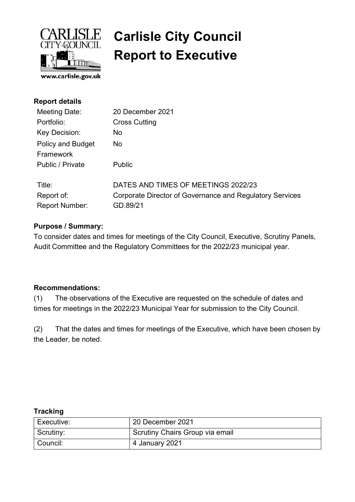

### $\overline{\text{LISL}}$  Carlisle City Council Report to Executive

| <b>Report details</b>    |                                                          |
|--------------------------|----------------------------------------------------------|
| Meeting Date:            | 20 December 2021                                         |
| Portfolio:               | <b>Cross Cutting</b>                                     |
| Key Decision:            | <b>No</b>                                                |
| <b>Policy and Budget</b> | <b>No</b>                                                |
| Framework                |                                                          |
| Public / Private         | <b>Public</b>                                            |
| Title:                   | DATES AND TIMES OF MEETINGS 2022/23                      |
| Report of:               | Corporate Director of Governance and Regulatory Services |
| <b>Report Number:</b>    | GD.89/21                                                 |

### Purpose / Summary:

To consider dates and times for meetings of the City Council, Executive, Scrutiny Panels, Audit Committee and the Regulatory Committees for the 2022/23 municipal year.

#### Recommendations:

(1) The observations of the Executive are requested on the schedule of dates and times for meetings in the 2022/23 Municipal Year for submission to the City Council.

(2) That the dates and times for meetings of the Executive, which have been chosen by the Leader, be noted.

#### **Tracking**

| Executive:             | 20 December 2021                |
|------------------------|---------------------------------|
| <sup>l</sup> Scrutiny: | Scrutiny Chairs Group via email |
| Council:               | 4 January 2021                  |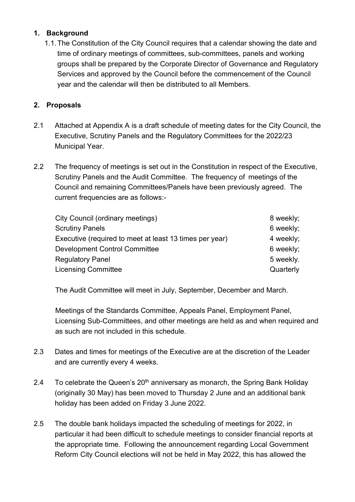### 1. Background

1.1. The Constitution of the City Council requires that a calendar showing the date and time of ordinary meetings of committees, sub-committees, panels and working groups shall be prepared by the Corporate Director of Governance and Regulatory Services and approved by the Council before the commencement of the Council year and the calendar will then be distributed to all Members.

### 2. Proposals

- 2.1 Attached at Appendix A is a draft schedule of meeting dates for the City Council, the Executive, Scrutiny Panels and the Regulatory Committees for the 2022/23 Municipal Year.
- 2.2 The frequency of meetings is set out in the Constitution in respect of the Executive, Scrutiny Panels and the Audit Committee. The frequency of meetings of the Council and remaining Committees/Panels have been previously agreed. The current frequencies are as follows:-

| 8 weekly; |
|-----------|
| 6 weekly; |
| 4 weekly; |
| 6 weekly; |
| 5 weekly. |
| Quarterly |
|           |

The Audit Committee will meet in July, September, December and March.

Meetings of the Standards Committee, Appeals Panel, Employment Panel, Licensing Sub-Committees, and other meetings are held as and when required and as such are not included in this schedule.

- 2.3 Dates and times for meetings of the Executive are at the discretion of the Leader and are currently every 4 weeks.
- 2.4 To celebrate the Queen's  $20<sup>th</sup>$  anniversary as monarch, the Spring Bank Holiday (originally 30 May) has been moved to Thursday 2 June and an additional bank holiday has been added on Friday 3 June 2022.
- 2.5 The double bank holidays impacted the scheduling of meetings for 2022, in particular it had been difficult to schedule meetings to consider financial reports at the appropriate time. Following the announcement regarding Local Government Reform City Council elections will not be held in May 2022, this has allowed the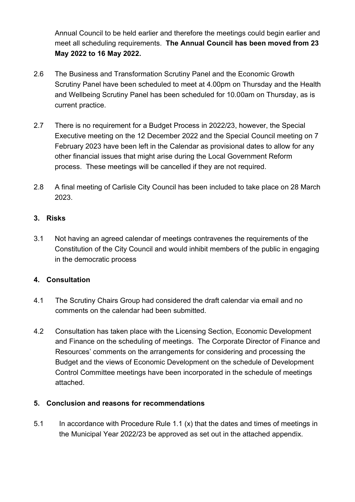Annual Council to be held earlier and therefore the meetings could begin earlier and meet all scheduling requirements. The Annual Council has been moved from 23 May 2022 to 16 May 2022.

- 2.6 The Business and Transformation Scrutiny Panel and the Economic Growth Scrutiny Panel have been scheduled to meet at 4.00pm on Thursday and the Health and Wellbeing Scrutiny Panel has been scheduled for 10.00am on Thursday, as is current practice.
- 2.7 There is no requirement for a Budget Process in 2022/23, however, the Special Executive meeting on the 12 December 2022 and the Special Council meeting on 7 February 2023 have been left in the Calendar as provisional dates to allow for any other financial issues that might arise during the Local Government Reform process. These meetings will be cancelled if they are not required.
- 2.8 A final meeting of Carlisle City Council has been included to take place on 28 March 2023.

#### 3. Risks

3.1 Not having an agreed calendar of meetings contravenes the requirements of the Constitution of the City Council and would inhibit members of the public in engaging in the democratic process

### 4. Consultation

- 4.1 The Scrutiny Chairs Group had considered the draft calendar via email and no comments on the calendar had been submitted.
- 4.2 Consultation has taken place with the Licensing Section, Economic Development and Finance on the scheduling of meetings. The Corporate Director of Finance and Resources' comments on the arrangements for considering and processing the Budget and the views of Economic Development on the schedule of Development Control Committee meetings have been incorporated in the schedule of meetings attached.

### 5. Conclusion and reasons for recommendations

5.1 In accordance with Procedure Rule 1.1  $(x)$  that the dates and times of meetings in the Municipal Year 2022/23 be approved as set out in the attached appendix.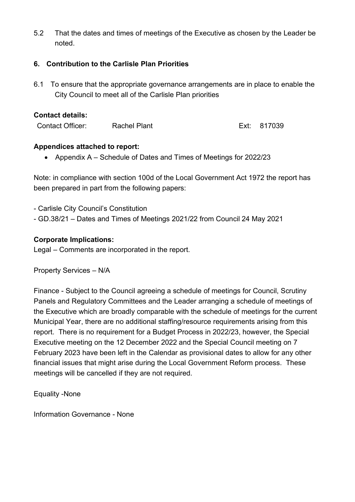5.2 That the dates and times of meetings of the Executive as chosen by the Leader be noted.

#### 6. Contribution to the Carlisle Plan Priorities

6.1 To ensure that the appropriate governance arrangements are in place to enable the City Council to meet all of the Carlisle Plan priorities

#### Contact details:

Contact Officer: Rachel Plant Ext: 817039

#### Appendices attached to report:

• Appendix A – Schedule of Dates and Times of Meetings for 2022/23

Note: in compliance with section 100d of the Local Government Act 1972 the report has been prepared in part from the following papers:

- Carlisle City Council's Constitution

- GD.38/21 – Dates and Times of Meetings 2021/22 from Council 24 May 2021

#### Corporate Implications:

Legal – Comments are incorporated in the report.

Property Services – N/A

Finance - Subject to the Council agreeing a schedule of meetings for Council, Scrutiny Panels and Regulatory Committees and the Leader arranging a schedule of meetings of the Executive which are broadly comparable with the schedule of meetings for the current Municipal Year, there are no additional staffing/resource requirements arising from this report. There is no requirement for a Budget Process in 2022/23, however, the Special Executive meeting on the 12 December 2022 and the Special Council meeting on 7 February 2023 have been left in the Calendar as provisional dates to allow for any other financial issues that might arise during the Local Government Reform process. These meetings will be cancelled if they are not required.

Equality -None

Information Governance - None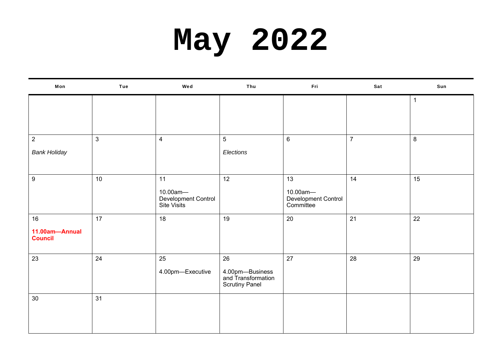### **May 2022**

| Mon                              | Tue            | Wed                                            | Thu                                                            | Fri                                          | Sat              | Sun         |
|----------------------------------|----------------|------------------------------------------------|----------------------------------------------------------------|----------------------------------------------|------------------|-------------|
|                                  |                |                                                |                                                                |                                              |                  | $\mathbf 1$ |
|                                  |                |                                                |                                                                |                                              |                  |             |
| $\overline{a}$                   | $\mathfrak{S}$ | $\overline{4}$                                 | $\sqrt{5}$                                                     | $\,6\,$                                      | $\boldsymbol{7}$ | $\bf{8}$    |
| <b>Bank Holiday</b>              |                |                                                | Elections                                                      |                                              |                  |             |
| $\boldsymbol{9}$                 | 10             | 11                                             | 12                                                             | 13                                           | 14               | 15          |
|                                  |                | 10.00am-<br>Development Control<br>Site Visits |                                                                | 10.00am-<br>Development Control<br>Committee |                  |             |
| 16                               | 17             | 18                                             | 19                                                             | 20                                           | 21               | 22          |
| 11.00am-Annual<br><b>Council</b> |                |                                                |                                                                |                                              |                  |             |
| 23                               | 24             | 25                                             | 26                                                             | 27                                           | 28               | 29          |
|                                  |                | 4.00pm-Executive                               | 4.00pm-Business<br>and Transformation<br><b>Scrutiny Panel</b> |                                              |                  |             |
| 30                               | 31             |                                                |                                                                |                                              |                  |             |
|                                  |                |                                                |                                                                |                                              |                  |             |
|                                  |                |                                                |                                                                |                                              |                  |             |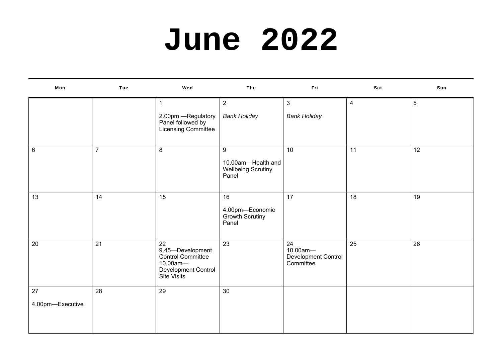### **June 2022**

| Mon                    | Tue            | Wed                                                                                           | Thu                                                           | Fri                                                | Sat            | Sun |
|------------------------|----------------|-----------------------------------------------------------------------------------------------|---------------------------------------------------------------|----------------------------------------------------|----------------|-----|
|                        |                | $\mathbf{1}$<br>2.00pm - Regulatory<br>Panel followed by<br>Licensing Committee               | $\overline{2}$<br><b>Bank Holiday</b>                         | $\mathbf{3}$<br><b>Bank Holiday</b>                | $\overline{4}$ | 5   |
| $\,6\,$                | $\overline{7}$ | 8                                                                                             | 9<br>10.00am-Health and<br><b>Wellbeing Scrutiny</b><br>Panel | 10                                                 | 11             | 12  |
| 13                     | 14             | 15                                                                                            | 16<br>4.00pm-Economic<br>Growth Scrutiny<br>Panel             | 17                                                 | 18             | 19  |
| 20                     | 21             | 22<br>9.45-Development<br>Control Committee<br>10.00am-<br>Development Control<br>Site Visits | 23                                                            | 24<br>10.00am-<br>Development Control<br>Committee | 25             | 26  |
| 27<br>4.00pm-Executive | 28             | 29                                                                                            | 30                                                            |                                                    |                |     |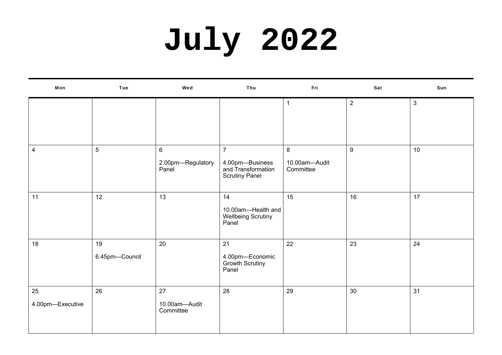# **July 2022**

| Mon                     | Tue                  | Wed                                          | Thu                                                                              | Fri                                            | Sat              | Sun          |
|-------------------------|----------------------|----------------------------------------------|----------------------------------------------------------------------------------|------------------------------------------------|------------------|--------------|
|                         |                      |                                              |                                                                                  |                                                | $\overline{2}$   | $\mathbf{3}$ |
| $\overline{\mathbf{4}}$ | $\overline{5}$       | $6\phantom{a}$<br>2.00pm-Regulatory<br>Panel | $\overline{7}$<br>4.00pm-Business<br>and Transformation<br><b>Scrutiny Panel</b> | $\boldsymbol{8}$<br>10.00am-Audit<br>Committee | $\boldsymbol{9}$ | 10           |
| 11                      | 12                   | 13                                           | 14<br>10.00am-Health and<br><b>Wellbeing Scrutiny</b><br>Panel                   | 15                                             | 16               | 17           |
| 18                      | 19<br>6.45pm-Council | 20                                           | 21<br>4.00pm-Economic<br>Growth Scrutiny<br>Panel                                | 22                                             | 23               | 24           |
| 25<br>4.00pm-Executive  | 26                   | 27<br>10.00am-Audit<br>Committee             | 28                                                                               | 29                                             | 30               | 31           |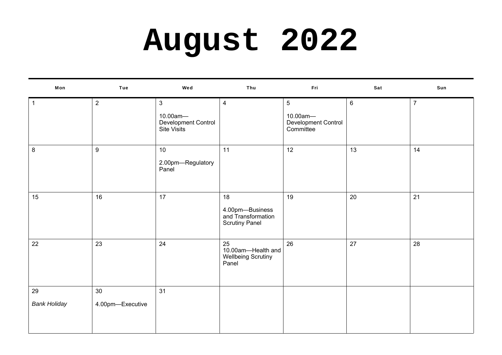# **August 2022**

| Mon                       | Tue                    | Wed                                                            | Thu                                                                  | Fri                                                             | Sat            | Sun            |
|---------------------------|------------------------|----------------------------------------------------------------|----------------------------------------------------------------------|-----------------------------------------------------------------|----------------|----------------|
| $\mathbf{1}$              | $\overline{2}$         | $\mathbf{3}$<br>10.00am-<br>Development Control<br>Site Visits | $\overline{4}$                                                       | $5\phantom{.0}$<br>10.00am-<br>Development Control<br>Committee | $6\phantom{1}$ | $\overline{7}$ |
| 8                         | 9                      | 10<br>2.00pm-Regulatory<br>Panel                               | 11                                                                   | 12                                                              | 13             | 14             |
| 15                        | 16                     | 17                                                             | 18<br>4.00pm-Business<br>and Transformation<br><b>Scrutiny Panel</b> | 19                                                              | 20             | 21             |
| 22                        | 23                     | 24                                                             | 25<br>10.00am-Health and<br><b>Wellbeing Scrutiny</b><br>Panel       | 26                                                              | 27             | 28             |
| 29<br><b>Bank Holiday</b> | 30<br>4.00pm-Executive | 31                                                             |                                                                      |                                                                 |                |                |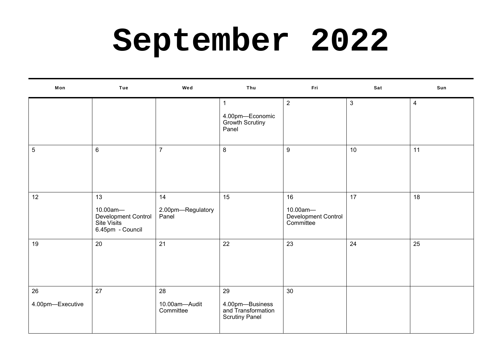### **September 2022**

| Mon                    | Tue                                                                      | Wed                              | Thu                                                                  | Fri                                                | Sat            | Sun |
|------------------------|--------------------------------------------------------------------------|----------------------------------|----------------------------------------------------------------------|----------------------------------------------------|----------------|-----|
|                        |                                                                          |                                  | $\mathbf{1}$<br>4.00pm-Economic<br>Growth Scrutiny<br>Panel          | $\overline{2}$                                     | $\mathfrak{S}$ | 4   |
| $\sqrt{5}$             | $6\phantom{1}$                                                           | $\overline{7}$                   | $\bf 8$                                                              | $\boldsymbol{9}$                                   | 10             | 11  |
| 12                     | 13<br>10.00am-<br>Development Control<br>Site Visits<br>6.45pm - Council | 14<br>2.00pm-Regulatory<br>Panel | 15                                                                   | 16<br>10.00am-<br>Development Control<br>Committee | 17             | 18  |
| 19                     | 20                                                                       | 21                               | 22                                                                   | 23                                                 | 24             | 25  |
| 26<br>4.00pm-Executive | 27                                                                       | 28<br>10.00am-Audit<br>Committee | 29<br>4.00pm-Business<br>and Transformation<br><b>Scrutiny Panel</b> | 30                                                 |                |     |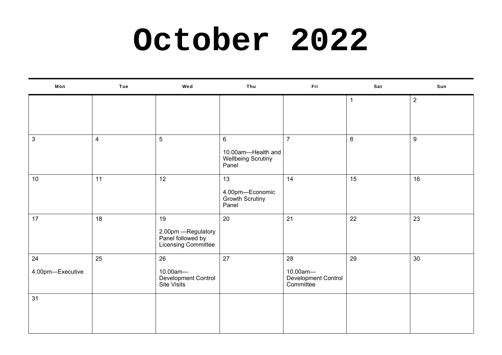### **October 2022**

| Mon              | Tue                     | Wed                                                                   | Thu                                                                 | Fri                                          | Sat          | Sun            |
|------------------|-------------------------|-----------------------------------------------------------------------|---------------------------------------------------------------------|----------------------------------------------|--------------|----------------|
|                  |                         |                                                                       |                                                                     |                                              | $\mathbf{1}$ | $\overline{2}$ |
| $\mathbf{3}$     | $\overline{\mathbf{4}}$ | 5                                                                     | $\,6\,$<br>10.00am-Health and<br><b>Wellbeing Scrutiny</b><br>Panel | $\overline{7}$                               | $\bf 8$      | 9              |
| $10$             | 11                      | 12                                                                    | 13<br>4.00pm-Economic<br>Growth Scrutiny<br>Panel                   | 14                                           | 15           | 16             |
| 17               | 18                      | 19<br>2.00pm — Regulatory<br>Panel followed by<br>Licensing Committee | 20                                                                  | 21                                           | 22           | 23             |
| 24               | 25                      | 26                                                                    | 27                                                                  | 28                                           | 29           | 30             |
| 4.00pm-Executive |                         | 10.00am-<br>Development Control<br>Site Visits                        |                                                                     | 10.00am-<br>Development Control<br>Committee |              |                |
| 31               |                         |                                                                       |                                                                     |                                              |              |                |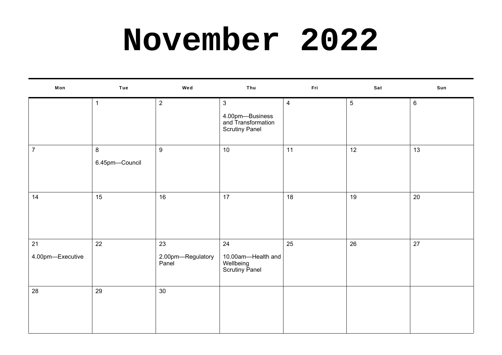### **November 2022**

| Mon                    | <b>Tue</b>          | Wed                              | Thu                                                                            | Fri            | Sat             | Sun            |
|------------------------|---------------------|----------------------------------|--------------------------------------------------------------------------------|----------------|-----------------|----------------|
|                        | 1                   | $\overline{2}$                   | $\mathbf{3}$<br>4.00pm—Business<br>and Transformation<br><b>Scrutiny Panel</b> | $\overline{4}$ | $5\phantom{.0}$ | $6\phantom{.}$ |
| $\boldsymbol{7}$       | 8<br>6.45pm-Council | $\boldsymbol{9}$                 | 10                                                                             | 11             | 12              | 13             |
| 14                     | 15                  | 16                               | 17                                                                             | 18             | 19              | 20             |
| 21<br>4.00pm-Executive | 22                  | 23<br>2.00pm-Regulatory<br>Panel | 24<br>10.00am-Health and<br>Wellbeing<br>Scrutiny Panel                        | 25             | 26              | 27             |
| 28                     | 29                  | 30                               |                                                                                |                |                 |                |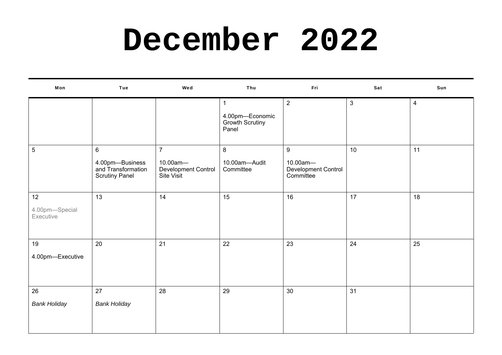### **December 2022**

| Mon                         | Tue                                                            | Wed                                           | Thu                                         | Fri                                          | Sat          | Sun            |
|-----------------------------|----------------------------------------------------------------|-----------------------------------------------|---------------------------------------------|----------------------------------------------|--------------|----------------|
|                             |                                                                |                                               | $\mathbf 1$                                 | $\overline{2}$                               | $\mathbf{3}$ | $\overline{4}$ |
|                             |                                                                |                                               | 4.00pm-Economic<br>Growth Scrutiny<br>Panel |                                              |              |                |
| 5                           | $6\phantom{.}$                                                 | $\overline{7}$                                | $8\phantom{1}$                              | 9                                            | 10           | 11             |
|                             | 4.00pm-Business<br>and Transformation<br><b>Scrutiny Panel</b> | 10.00am-<br>Development Control<br>Site Visit | 10.00am-Audit<br>Committee                  | 10.00am-<br>Development Control<br>Committee |              |                |
| 12                          | 13                                                             | 14                                            | 15                                          | 16                                           | 17           | 18             |
| 4.00pm-Special<br>Executive |                                                                |                                               |                                             |                                              |              |                |
| 19                          | 20                                                             | 21                                            | 22                                          | 23                                           | 24           | 25             |
| 4.00pm-Executive            |                                                                |                                               |                                             |                                              |              |                |
| 26                          | 27                                                             | 28                                            | 29                                          | 30                                           | 31           |                |
| <b>Bank Holiday</b>         | <b>Bank Holiday</b>                                            |                                               |                                             |                                              |              |                |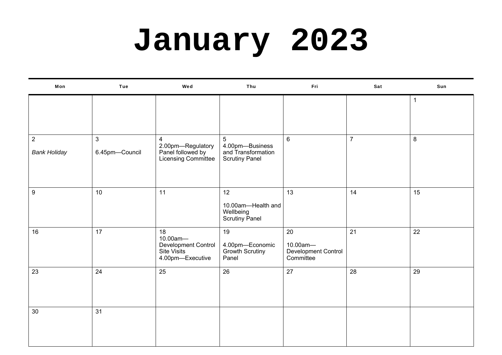# **January 2023**

| Mon                                   | <b>Tue</b>                     | Wed                                                                             | Thu                                                                               | Fri                                                | Sat            | Sun              |
|---------------------------------------|--------------------------------|---------------------------------------------------------------------------------|-----------------------------------------------------------------------------------|----------------------------------------------------|----------------|------------------|
|                                       |                                |                                                                                 |                                                                                   |                                                    |                | 1                |
| $\overline{2}$<br><b>Bank Holiday</b> | $\mathbf{3}$<br>6.45pm-Council | $\overline{4}$<br>2.00pm-Regulatory<br>Panel followed by<br>Licensing Committee | $5\phantom{.0}$<br>4.00pm-Business<br>and Transformation<br><b>Scrutiny Panel</b> | $6\phantom{.}$                                     | $\overline{7}$ | $\boldsymbol{8}$ |
| $\boldsymbol{9}$                      | 10                             | 11                                                                              | 12<br>10.00am-Health and<br>Wellbeing<br>Scrutiny Panel                           | 13                                                 | 14             | 15               |
| 16                                    | 17                             | 18<br>10.00am-<br>Development Control<br>Site Visits<br>4.00pm-Executive        | 19<br>4.00pm-Economic<br>Growth Scrutiny<br>Panel                                 | 20<br>10.00am-<br>Development Control<br>Committee | 21             | 22               |
| 23                                    | 24                             | 25                                                                              | 26                                                                                | 27                                                 | 28             | 29               |
| 30                                    | 31                             |                                                                                 |                                                                                   |                                                    |                |                  |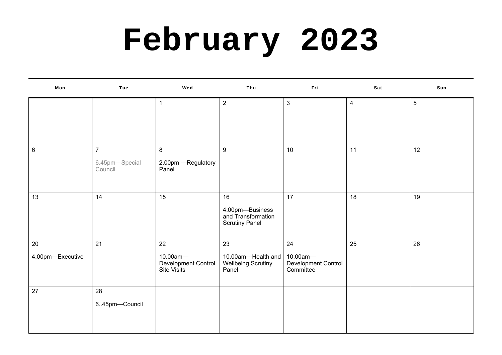# **February 2023**

| Mon                    | Tue                                         | Wed                                                  | Thu                                                                  | Fri                                                | Sat            | Sun             |
|------------------------|---------------------------------------------|------------------------------------------------------|----------------------------------------------------------------------|----------------------------------------------------|----------------|-----------------|
|                        |                                             | $\mathbf 1$                                          | $\overline{2}$                                                       | $\mathbf{3}$                                       | $\overline{4}$ | $5\phantom{.0}$ |
| $6\phantom{.}6$        | $\overline{7}$<br>6.45pm-Special<br>Council | 8<br>2.00pm - Regulatory<br>Panel                    | 9                                                                    | 10                                                 | 11             | 12              |
| 13                     | 14                                          | 15                                                   | 16<br>4.00pm-Business<br>and Transformation<br><b>Scrutiny Panel</b> | 17                                                 | 18             | 19              |
| 20<br>4.00pm-Executive | 21                                          | 22<br>10.00am-<br>Development Control<br>Site Visits | 23<br>10.00am-Health and<br><b>Wellbeing Scrutiny</b><br>Panel       | 24<br>10.00am-<br>Development Control<br>Committee | 25             | 26              |
| 27                     | 28<br>645pm-Council                         |                                                      |                                                                      |                                                    |                |                 |